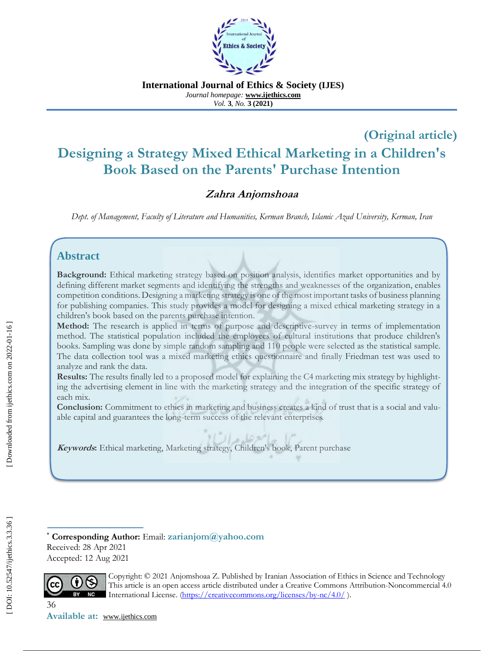

**International Journal of Ethics & Society (IJES)** *Journal homepage:* **www.ijethics.com** *Vol.*  **3***, No.* **3 (2021 )**

# **(Original article ) Designing a Strategy Mixed Ethical Marketing in a Children's Book Based on the Parents' Purchase Intention**

## **Zahra Anjomshoaa**

*Dept. of Management, Faculty of Literature and Humanities, Kerman Branch, Islamic Azad University, Kerman, Iran*

### **Abstract**

**Background:** Ethical marketing strategy based on position analysis, identifies market opportunities and by defining different market segments and identifying the strengths and weaknesses of the organization, enables competition conditions. Designing a marketing strategy is one of the most important tasks of business planning for publishing companies. This study provides a model for designing a mixed ethical marketing strategy in a children's book based on the parents purchase intention.

Method: The research is applied in terms of purpose and descriptive-survey in terms of implementation method. The statistical population included the employees of cultural institutions that produce children's books. Sampling was done by simple random sampling and 110 people were selected as the statistical sample. The data collection tool was a mixed marketing ethics questionnaire and finally Friedman test was used to analyze and rank the data.

**Results:** The results finally led to a proposed model for explaining the C4 marketing mix strategy by highlighting the advertising element in line with the marketing strategy and the integration of the specific strategy of each mix.

**Conclusion:** Commitment to ethics in marketing and business creates a kind of trust that is a social and valuable capital and guarantees the long-term success of the relevant enterprises.

حبامع عليده الر **Keywords:** Ethical marketing, Marketing strategy, Children's book, Parent purchase

 **Corresponding Author:** Email: **[zarianjom@yahoo.com](mailto:zarianjom@yahoo.com)** Received: 28 Apr 202 1 Accepted: 12 Aug 2021



Copyright: © 2021 Anjomshoaa Z. Published by Iranian Association of Ethics in Science and Technology<br>This article is an open access article distributed under a Creative Commons Attribution Noncommercial 4 This article is an open access article distributed under a Creative Commons Attribution -Noncommercial 4.0 BY NC International License. [\(https://creativecommons.org/licenses/by](https://creativecommons.org/licenses/by-nc/4.0/)-nc/4.0/).

36

**Available at:** www.ijethics.com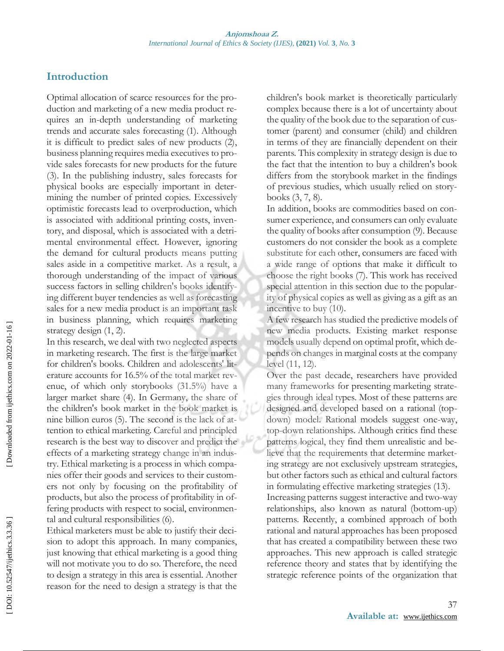### **Introduction**

Optimal allocation of scarce resources for the production and marketing of a new media product requires an in-depth understanding of marketing trends and accurate sales forecasting (1). Although it is difficult to predict sales of new products (2), business planning requires media executives to provide sales forecasts for new products for the future (3). In the publishing industry, sales forecasts for physical books are especially important in determining the number of printed copies. Excessively optimistic forecasts lead to overproduction, which is associated with additional printing costs, inventory, and disposal, which is associated with a detrimental environmental effect. However, ignoring the demand for cultural products means putting sales aside in a competitive market. As a result, a thorough understanding of the impact of various success factors in selling children's books identifying different buyer tendencies as well as forecasting sales for a new media product is an important task in business planning, which requires marketing strategy design (1, 2).

In this research, we deal with two neglected aspects in marketing research. The first is the large market for children's books. Children and adolescents' literature accounts for 16.5% of the total market revenue, of which only storybooks (31.5%) have a larger market share (4). In Germany, the share of the children's book market in the book market is nine billion euros (5). The second is the lack of attention to ethical marketing. Careful and principled research is the best way to discover and predict the effects of a marketing strategy change in an industry. Ethical marketing is a process in which companies offer their goods and services to their customers not only by focusing on the profitability of products, but also the process of profitability in offering products with respect to social, environmental and cultural responsibilities (6).

Ethical marketers must be able to justify their decision to adopt this approach. In many companies, just knowing that ethical marketing is a good thing will not motivate you to do so. Therefore, the need to design a strategy in this area is essential. Another reason for the need to design a strategy is that the

children's book market is theoretically particularly complex because there is a lot of uncertainty about the quality of the book due to the separation of customer (parent) and consumer (child) and children in terms of they are financially dependent on their parents. This complexity in strategy design is due to the fact that the intention to buy a children's book differs from the storybook market in the findings of previous studies, which usually relied on storybooks (3, 7, 8).

In addition, books are commodities based on consumer experience, and consumers can only evaluate the quality of books after consumption (9). Because customers do not consider the book as a complete substitute for each other, consumers are faced with a wide range of options that make it difficult to choose the right books (7). This work has received special attention in this section due to the popularity of physical copies as well as giving as a gift as an incentive to buy (10).

A few research has studied the predictive models of new media products. Existing market response models usually depend on optimal profit, which depends on changes in marginal costs at the company level (11, 12).

Over the past decade, researchers have provided many frameworks for presenting marketing strategies through ideal types. Most of these patterns are designed and developed based on a rational (top down) model. Rational models suggest one -way, top -down relationships. Although critics find these patterns logical, they find them unrealistic and believe that the requirements that determine marketing strategy are not exclusively upstream strategies, but other factors such as ethical and cultural factors in formulating effective marketing strategies (13).

Increasing patterns suggest interactive and two -way relationships, also known as natural (bottom -up) patterns. Recently, a combined approach of both rational and natural approaches has been proposed that has created a compatibility between these two approaches. This new approach is called strategic reference theory and states that by identifying the strategic reference points of the organization that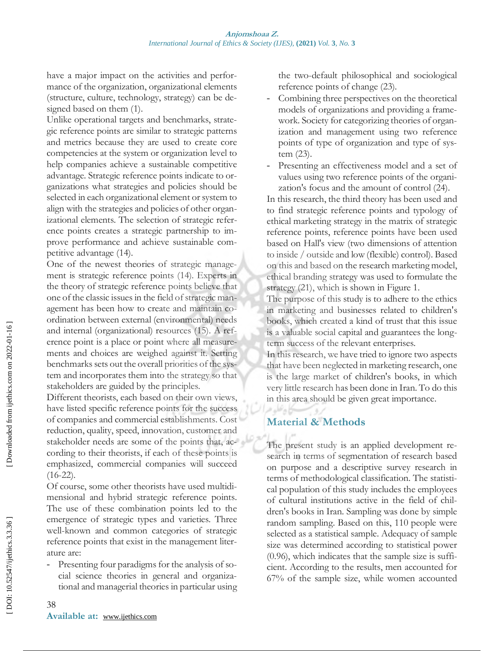have a major impact on the activities and performance of the organization, organizational elements (structure, culture, technology, strategy) can be designed based on them (1).

Unlike operational targets and benchmarks, strategic reference points are similar to strategic patterns and metrics because they are used to create core competencies at the system or organization level to help companies achieve a sustainable competitive advantage. Strategic reference points indicate to organizations what strategies and policies should be selected in each organizational element or system to align with the strategies and policies of other organizational elements. The selection of strategic reference points creates a strategic partnership to improve performance and achieve sustainable competitive advantage (14).

One of the newest theories of strategic management is strategic reference points (14). Experts in the theory of strategic reference points believe that one of the classic issues in the field of strategic management has been how to create and maintain coordination between external (environmental) needs and internal (organizational) resources (15). A reference point is a place or point where all measurements and choices are weighed against it. Setting benchmarks sets out the overall priorities of the system and incorporates them into the strategy so that stakeholders are guided by the principles.

Different theorists, each based on their own views, have listed specific reference points for the success of companies and commercial establishments. Cost reduction, quality, speed, innovation, customer and stakeholder needs are some of the points that, according to their theorists, if each of these points is emphasized, commercial companies will succeed  $(16-22)$ .

Of course, some other theorists have used multidimensional and hybrid strategic reference points. The use of these combination points led to the emergence of strategic types and varieties. Three well -known and common categories of strategic reference points that exist in the management literature are:

Presenting four paradigms for the analysis of social science theories in general and organizational and managerial theories in particular using

the two -default philosophical and sociological reference points of change (23).

- Combining three perspectives on the theoretical models of organizations and providing a framework. Society for categorizing theories of organization and management using two reference points of type of organization and type of system (23).
- Presenting an effectiveness model and a set of values using two reference points of the organization's focus and the amount of control (24).

In this research, the third theory has been used and to find strategic reference points and typology of ethical marketing strategy in the matrix of strategic reference points, reference points have been used based on Hall's view (two dimensions of attention to inside / outside and low (flexible) control). Based on this and based on the research marketing model, ethical branding strategy was used to formulate the strategy (21), which is shown in Figure 1.

The purpose of this study is to adhere to the ethics in marketing and businesses related to children's books, which created a kind of trust that this issue is a valuable social capital and guarantees the long term success of the relevant enterprises.

In this research, we have tried to ignore two aspects that have been neglected in marketing research, one is the large market of children's books, in which very little research has been done in Iran. To do this in this area should be given great importance .

### **Material & Methods**

ی پر صد

The present study is an applied development research in terms of segmentation of research based on purpose and a descriptive survey research in terms of methodological classification. The statistical population of this study includes the employees of cultural institutions active in the field of children's books in Iran. Sampling was done by simple random sampling. Based on this, 110 people were selected as a statistical sample. Adequacy of sample size was determined according to statistical power (0.96), which indicates that the sample size is sufficient. According to the results, men accounted for 67% of the sample size, while women accounted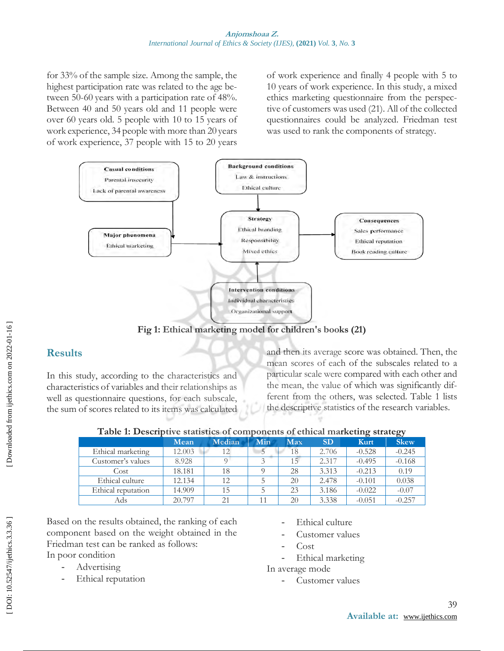for 33% of the sample size. Among the sample, the highest participation rate was related to the age between 50-60 years with a participation rate of 48%. Between 40 and 50 years old and 11 people were over 60 years old. 5 people with 10 to 15 years of work experience, 34 people with more than 20 years of work experience, 37 people with 15 to 20 years of work experience and finally 4 people with 5 to 10 years of work experience. In this study, a mixed ethics marketing questionnaire from the perspective of customers was used (21). All of the collected questionnaires could be analyzed. Friedman test was used to rank the components of strategy.



**Fig 1: Ethical marketing model for children's books (21)**

## **Results**

In this study, according to the characteristics and characteristics of variables and their relationships as well as questionnaire questions, for each subscale, the sum of scores related to its items was calculated and then its average score was obtained. Then, the mean scores of each of the subscales related to a particular scale were compared with each other and the mean, the value of which was significantly different from the others, was selected. Table 1 lists the descriptive statistics of the research variables .

|                    | Mean   | Median | Min | Max | <b>SD</b> | Kurt     | <b>Skew</b> |
|--------------------|--------|--------|-----|-----|-----------|----------|-------------|
| Ethical marketing  | 12.003 | 12     |     | 18  | 2.706     | $-0.528$ | $-0.245$    |
| Customer's values  | 8.928  |        |     | 15  | 2.317     | $-0.495$ | $-0.168$    |
| Cost               | 18.181 | 18     |     | 28  | 3.313     | $-0.213$ | 0.19        |
| Ethical culture    | 12.134 | 12     |     | 20  | 2.478     | $-0.101$ | 0.038       |
| Ethical reputation | 14.909 | 15     |     | 23  | 3.186     | $-0.022$ | $-0.07$     |
| Ads                | 20.797 |        |     | 20  | 3.338     | $-0.051$ | $-0.257$    |

|  |  | Table 1: Descriptive statistics of components of ethical marketing strategy |  |  |
|--|--|-----------------------------------------------------------------------------|--|--|
|  |  |                                                                             |  |  |

Based on the results obtained, the ranking of each component based on the weight obtained in the Friedman test can be ranked as follows: In poor condition

- Advertising
- Ethical reputation
- Ethical culture
- Customer values
- Cost
- Ethical marketing

In average mode

Customer values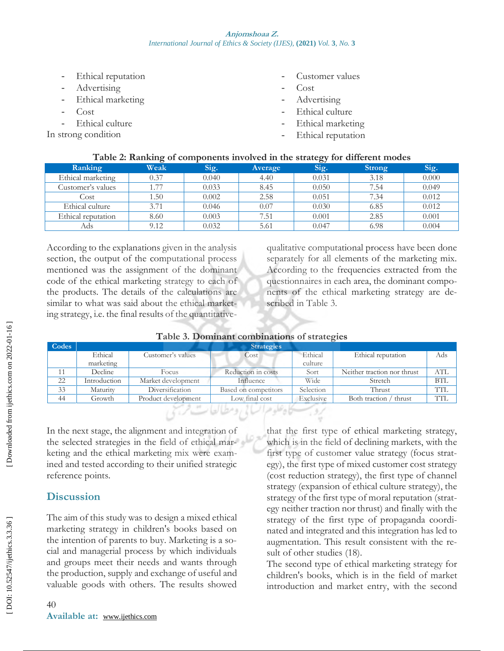- 
- 
- 
- 
- 
- In strong condition
- Customer values
- Cost
- Advertising
- Ethical culture
- Ethical marketing
- Ethical reputation

|                    | $\overline{\phantom{a}}$ |       |         | OJ    |               |       |
|--------------------|--------------------------|-------|---------|-------|---------------|-------|
| Ranking            | Weak                     | Sig.  | Average | Sig.  | <b>Strong</b> | Sig.  |
| Ethical marketing  | 0.37                     | 0.040 | 4.40    | 0.031 | 3.18          | 0.000 |
| Customer's values  | 77                       | 0.033 | 8.45    | 0.050 | 7.54          | 0.049 |
| Cost               | 1.50                     | 0.002 | 2.58    | 0.051 | 7.34          | 0.012 |
| Ethical culture    | 3.71                     | 0.046 | 0.07    | 0.030 | 6.85          | 0.012 |
| Ethical reputation | 8.60                     | 0.003 | 7.51    | 0.001 | 2.85          | 0.001 |
| Ads                | 9.12                     | 0.032 | 5.61    | 0.047 | 6.98          | 0.004 |

#### **Table 2: Ranking of components involved in the strategy for different modes**

Finical reputation<br>
- Ethical marketing<br>
- Ethical culture<br>
In strong condition<br>
- Table 2: Rankin<br>
- Ranking<br>
- Ethical marketing<br>
- Cost<br>
- Cost<br>
- Ethical marketing<br>
- Cost<br>
- Ethical reputation<br>
- Ads<br>
- According to t According to the explanations given in the analysis section, the output of the computational process mentioned was the assignment of the dominant code of the ethical marketing strategy to each of the products. The details of the calculations are similar to what was said about the ethical marketing strategy, i.e. the final results of the quantitative-

qualitative computational process have been done separately for all elements of the marketing mix. According to the frequencies extracted from the questionnaires in each area, the dominant components of the ethical marketing strategy are described in Table 3.

| Table 3. Dominant combinations of strategies |
|----------------------------------------------|
|                                              |

| Codes                             |              |                     | <b>Strategies</b>    |           |                             |            |  |  |
|-----------------------------------|--------------|---------------------|----------------------|-----------|-----------------------------|------------|--|--|
|                                   | Ethical      | Customer's values   | Cost                 | Ethical   | Ethical reputation          | Ads        |  |  |
|                                   | marketing    |                     |                      | culture   |                             |            |  |  |
| 11                                | Decline      | Focus               | Reduction in costs   | Sort      | Neither traction nor thrust | <b>ATL</b> |  |  |
| 22                                | Introduction | Market development  | Influence            | Wide      | Stretch                     | <b>BTL</b> |  |  |
| 33                                | Maturity     | Diversification     | Based on competitors | Selection | Thrust                      | <b>TIL</b> |  |  |
| 44                                | Growth       | Product development | Low-final cost       | Exclusive | Both traction / thrust      | <b>TIL</b> |  |  |
| روسسكاه علوم السابي ومطالعات فرسخ |              |                     |                      |           |                             |            |  |  |

In the next stage, the alignment and integration of the selected strategies in the field of ethical marketing and the ethical marketing mix were examined and tested according to their unified strategic reference points.

## **Discussion**

The aim of this study was to design a mixed ethical marketing strategy in children's books based on the intention of parents to buy. Marketing is a social and managerial process by which individuals and groups meet their needs and wants through the production, supply and exchange of useful and valuable goods with others. The results showed that the first type of ethical marketing strategy, which is in the field of declining markets, with the first type of customer value strategy (focus strategy), the first type of mixed customer cost strategy (cost reduction strategy), the first type of channel strategy (expansion of ethical culture strategy), the strategy of the first type of moral reputation (strategy neither traction nor thrust) and finally with the strategy of the first type of propaganda coordinated and integrated and this integration has led to augmentation. This result consistent with the result of other studies (18).

The second type of ethical marketing strategy for children's books, which is in the field of market introduction and market entry, with the second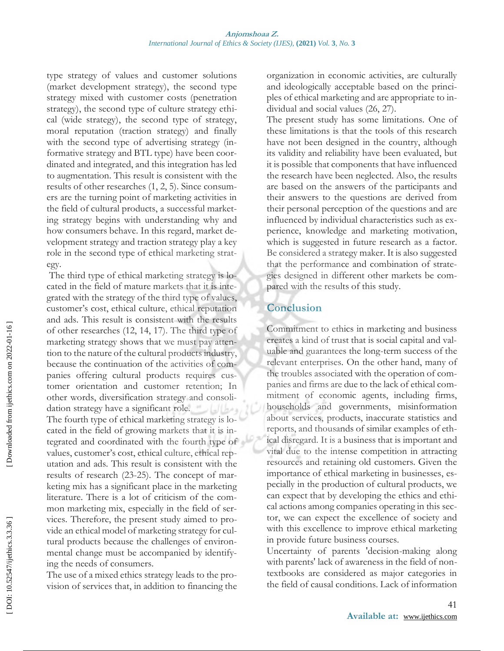type strategy of values and customer solutions (market development strategy), the second type strategy mixed with customer costs (penetration strategy), the second type of culture strategy ethical (wide strategy), the second type of strategy, moral reputation (traction strategy) and finally with the second type of advertising strategy (informative strategy and BTL type) have been coordinated and integrated, and this integration has led to augmentation. This result is consistent with the results of other researches (1, 2, 5). Since consumers are the turning point of marketing activities in the field of cultural products, a successful marketing strategy begins with understanding why and how consumers behave. In this regard, market development strategy and traction strategy play a key role in the second type of ethical marketing strategy.

The third type of ethical marketing strategy is located in the field of mature markets that it is integrated with the strategy of the third type of values, customer's cost, ethical culture, ethical reputation and ads. This result is consistent with the results of other researches (12, 14, 17). The third type of marketing strategy shows that we must pay attention to the nature of the cultural products industry, because the continuation of the activities of companies offering cultural products requires customer orientation and customer retention; In other words, diversification strategy and consolidation strategy have a significant role. ومطالعات The fourth type of ethical marketing strategy is located in the field of growing markets that it is integrated and coordinated with the fourth type of values, customer's cost, ethical culture, ethical reputation and ads. This result is consistent with the results of research (23 -25). The concept of marketing mix has a significant place in the marketing literature. There is a lot of criticism of the common marketing mix, especially in the field of services. Therefore, the present study aimed to provide an ethical model of marketing strategy for cultural products because the challenges of environmental change must be accompanied by identifying the needs of consumers.

The use of a mixed ethics strategy leads to the provision of services that, in addition to financing the organization in economic activities, are culturally and ideologically acceptable based on the principles of ethical marketing and are appropriate to individual and social values (26, 27).

The present study has some limitations. One of these limitations is that the tools of this research have not been designed in the country, although its validity and reliability have been evaluated, but it is possible that components that have influenced the research have been neglected. Also, the results are based on the answers of the participants and their answers to the questions are derived from their personal perception of the questions and are influenced by individual characteristics such as experience, knowledge and marketing motivation, which is suggested in future research as a factor. Be considered a strategy maker. It is also suggested that the performance and combination of strategies designed in different other markets be compared with the results of this study.

#### **Conclusion**

Commitment to ethics in marketing and business creates a kind of trust that is social capital and valuable and guarantees the long-term success of the relevant enterprises. On the other hand, many of the troubles associated with the operation of companies and firms are due to the lack of ethical commitment of economic agents, including firms, households and governments, misinformation about services, products, inaccurate statistics and reports, and thousands of similar examples of ethical disregard. It is a business that is important and vital due to the intense competition in attracting resources and retaining old customers. Given the importance of ethical marketing in businesses, especially in the production of cultural products, we can expect that by developing the ethics and ethical actions among companies operating in this sector, we can expect the excellence of society and with this excellence to improve ethical marketing in provide future business courses.

Uncertainty of parents 'decision -making along with parents' lack of awareness in the field of nontextbooks are considered as major categories in the field of causal conditions. Lack of information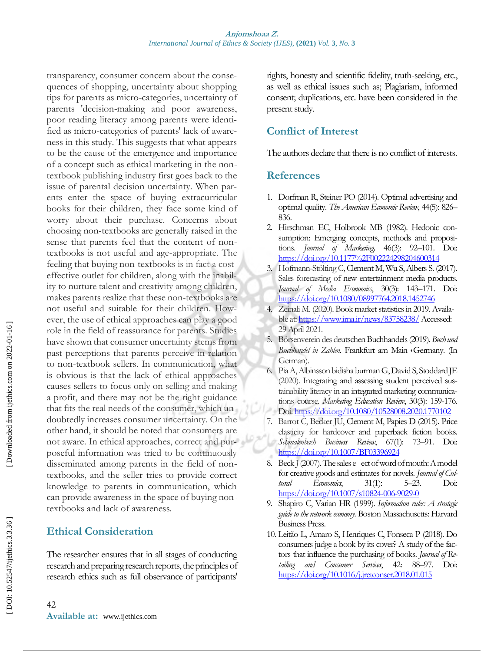transparency, consumer concern about the consequences of shopping, uncertainty about shopping tips for parents as micro -categories, uncertainty of parents 'decision -making and poor awareness, poor reading literacy among parents were identified as micro-categories of parents' lack of awareness in this study. This suggests that what appears to be the cause of the emergence and importance of a concept such as ethical marketing in the non textbook publishing industry first goes back to the issue of parental decision uncertainty. When parents enter the space of buying extracurricular books for their children, they face some kind of worry about their purchase. Concerns about choosing non -textbooks are generally raised in the sense that parents feel that the content of non textbooks is not useful and age -appropriate. The feeling that buying non-textbooks is in fact a costeffective outlet for children, along with the inability to nurture talent and creativity among children, makes parents realize that these non -textbooks are not useful and suitable for their children. However, the use of ethical approaches can play a good role in the field of reassurance for parents. Studies have shown that consumer uncertainty stems from past perceptions that parents perceive in relation to non -textbook sellers. In communication, what is obvious is that the lack of ethical approaches causes sellers to focus only on selling and making a profit, and there may not be the right guidance that fits the real needs of the consumer, which undoubtedly increases consumer uncertainty. On the other hand, it should be noted that consumers are not aware. In ethical approaches, correct and purposeful information was tried to be continuously disseminated among parents in the field of non textbooks, and the seller tries to provide correct knowledge to parents in communication, which can provide awareness in the space of buying non textbooks and lack of awareness.

### **Ethical Consideration**

The researcher ensures that in all stages of conducting research and preparing research reports, the principles of research ethics such as full observance of participants'

rights, honesty and scientific fidelity, truth -seeking, etc., as well as ethical issues such as; Plagiarism, informed consent; duplications, etc. have been considered in the present study.

## **Conflict of Interest**

The authors declare that there is no conflict of interests.

## **References**

- 1. Dorfman R, Steiner PO (2014). Optimal advertising and optimal quality. *The American Economic Review*, 44(5): 826– 836.
- 2. Hirschman EC, Holbrook MB (1982). Hedonic consumption: Emerging concepts, methods and propositions. *Journal of Marketing,* 46(3): 92–101. Doi: <https://doi.org/10.1177%2F002224298204600314>
- 3. Hofmann -Stölting C, Clement M, Wu S, Albers S. (2017). Sales forecasting of new entertainment media products. *Journal of Media Economics*, 30(3): 143 –171. Doi: <https://doi.org/10.1080/08997764.2018.1452746>
- 4. Zeinali M. (2020). Book market statistics in 2019. Availa-ble at[: https://www.irna.ir/news/83758238/](https://www.irna.ir/news/83758238/)Accessed: 29 April 2021.
- 5. Börsenverein des deutschen Buchhandels (2019). *Buch und Buchhandel in Zahlen.* Frankfurt am Main ،Germany. (In German) .
- 6. Pia A, Albinsson bidisha burman G, David S, Stoddard JE (2020). Integrating and assessing student perceived sustainability literacy in an integrated marketing communications course. *Marketing Education Review*, 30(3): 159-176. Doi[: https://doi.org/10.1080/10528008.2020.1770102](https://doi.org/10.1080/10528008.2020.1770102)
- 7. Barrot C, Becker JU, Clement M, Papies D (2015). Price elasticity for hardcover and paperback fiction books. *Schmalenbach Business Review*, 67(1): –91. Doi: <https://doi.org/10.1007/BF03396924>
- 8. Beck J (2007). The sales e ect of word of mouth: A model for creative goods and estimates for novels. *Journal of Cultural Economics*, 31(1): 5–23. Doi: [https://doi.org/10.1007/s10824](https://doi.org/10.1007/s10824-006-9029-0)-006-9029-0
- 9. Shapiro C, Varian HR (1999). *Information rules: A strategic guide to the network economy*. Boston Massachusetts: Harvard Business Press.
- 10. Leitão L, Amaro S, Henriques C, Fonseca P (2018). Do consumers judge a book by its cover? A study of the factors that influence the purchasing of books. *Journal of Retailing and Consumer Services*, 42: 88–97. Doi: <https://doi.org/10.1016/j.jretconser.2018.01.015>